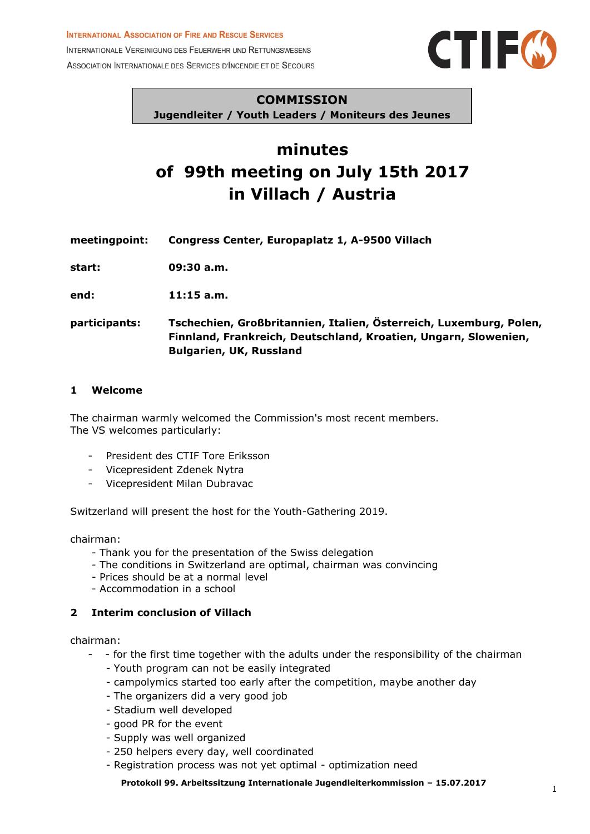#### **INTERNATIONAL ASSOCIATION OF FIRE AND RESCUE SERVICES**

INTERNATIONALE VEREINIGUNG DES FEUERWEHR UND RETTUNGSWESENS ASSOCIATION INTERNATIONALE DES SERVICES D'INCENDIE ET DE SECOURS



#### **COMMISSION**

**Jugendleiter / Youth Leaders / Moniteurs des Jeunes**

# **minutes of 99th meeting on July 15th 2017 in Villach / Austria**

**meetingpoint: Congress Center, Europaplatz 1, A-9500 Villach**

**start: 09:30 a.m.**

**end: 11:15 a.m.**

**participants: Tschechien, Großbritannien, Italien, Österreich, Luxemburg, Polen, Finnland, Frankreich, Deutschland, Kroatien, Ungarn, Slowenien, Bulgarien, UK, Russland**

#### **1 Welcome**

The chairman warmly welcomed the Commission's most recent members. The VS welcomes particularly:

- President des CTIF Tore Eriksson
- Vicepresident Zdenek Nytra
- Vicepresident Milan Dubravac

Switzerland will present the host for the Youth-Gathering 2019.

chairman:

- Thank you for the presentation of the Swiss delegation
- The conditions in Switzerland are optimal, chairman was convincing
- Prices should be at a normal level
- Accommodation in a school

#### **2 Interim conclusion of Villach**

chairman:

- - for the first time together with the adults under the responsibility of the chairman
	- Youth program can not be easily integrated
	- campolymics started too early after the competition, maybe another day
	- The organizers did a very good job
	- Stadium well developed
	- good PR for the event
	- Supply was well organized
	- 250 helpers every day, well coordinated
	- Registration process was not yet optimal optimization need

**Protokoll 99. Arbeitssitzung Internationale Jugendleiterkommission – 15.07.2017**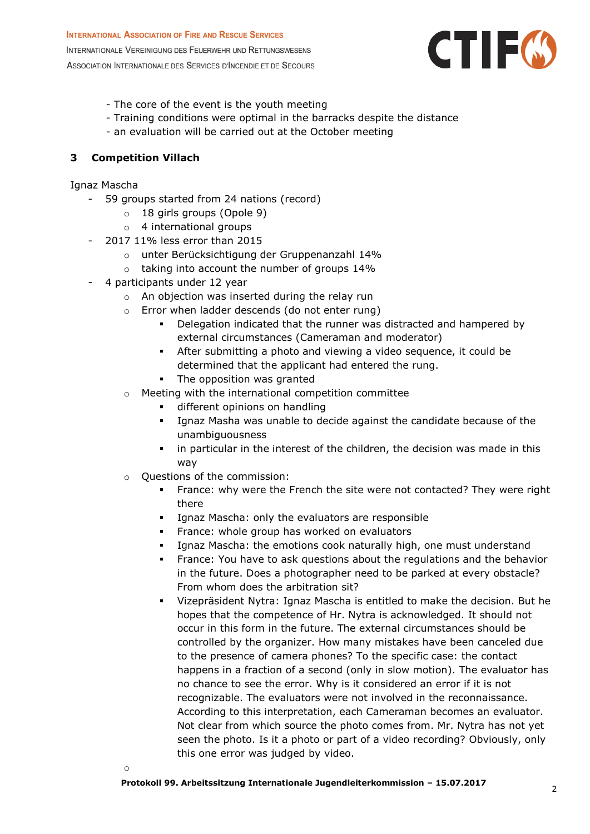

- The core of the event is the youth meeting
- Training conditions were optimal in the barracks despite the distance
- an evaluation will be carried out at the October meeting

## **3 Competition Villach**

Ignaz Mascha

- 59 groups started from 24 nations (record)
	- o 18 girls groups (Opole 9)
	- o 4 international groups
- 2017 11% less error than 2015
	- o unter Berücksichtigung der Gruppenanzahl 14%
	- o taking into account the number of groups 14%
- 4 participants under 12 year
	- o An objection was inserted during the relay run
	- o Error when ladder descends (do not enter rung)
		- Delegation indicated that the runner was distracted and hampered by external circumstances (Cameraman and moderator)
		- **EXECT** After submitting a photo and viewing a video sequence, it could be determined that the applicant had entered the rung.
		- **•** The opposition was granted
	- o Meeting with the international competition committee
		- **·** different opinions on handling
		- Ignaz Masha was unable to decide against the candidate because of the unambiguousness
		- **.** in particular in the interest of the children, the decision was made in this way
	- o Questions of the commission:
		- **•** France: why were the French the site were not contacted? They were right there
		- Ignaz Mascha: only the evaluators are responsible
		- **EXECO FRANCE:** whole group has worked on evaluators
		- Ignaz Mascha: the emotions cook naturally high, one must understand
		- France: You have to ask questions about the regulations and the behavior in the future. Does a photographer need to be parked at every obstacle? From whom does the arbitration sit?
		- Vizepräsident Nytra: Ignaz Mascha is entitled to make the decision. But he hopes that the competence of Hr. Nytra is acknowledged. It should not occur in this form in the future. The external circumstances should be controlled by the organizer. How many mistakes have been canceled due to the presence of camera phones? To the specific case: the contact happens in a fraction of a second (only in slow motion). The evaluator has no chance to see the error. Why is it considered an error if it is not recognizable. The evaluators were not involved in the reconnaissance. According to this interpretation, each Cameraman becomes an evaluator. Not clear from which source the photo comes from. Mr. Nytra has not yet seen the photo. Is it a photo or part of a video recording? Obviously, only this one error was judged by video.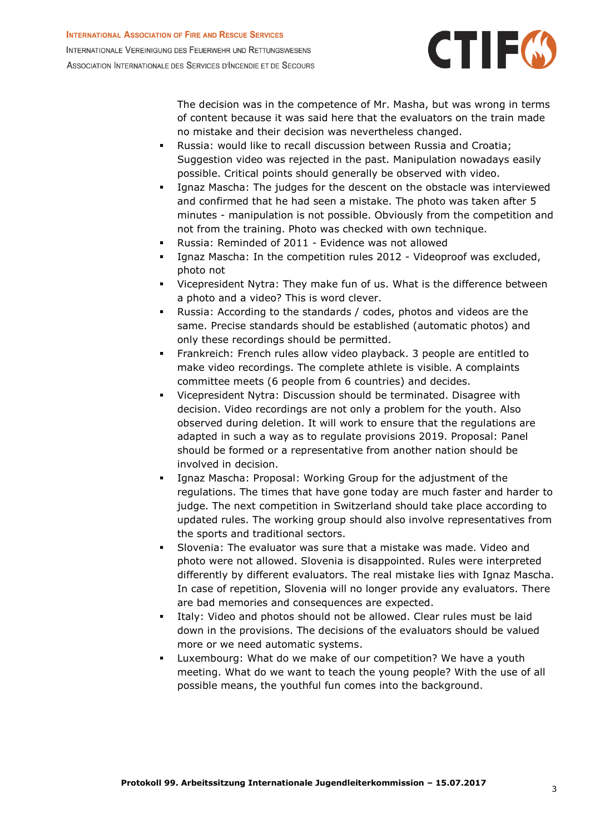

The decision was in the competence of Mr. Masha, but was wrong in terms of content because it was said here that the evaluators on the train made no mistake and their decision was nevertheless changed.

- Russia: would like to recall discussion between Russia and Croatia; Suggestion video was rejected in the past. Manipulation nowadays easily possible. Critical points should generally be observed with video.
- Ignaz Mascha: The judges for the descent on the obstacle was interviewed and confirmed that he had seen a mistake. The photo was taken after 5 minutes - manipulation is not possible. Obviously from the competition and not from the training. Photo was checked with own technique.
- Russia: Reminded of 2011 Evidence was not allowed
- Ignaz Mascha: In the competition rules 2012 Videoproof was excluded, photo not
- Vicepresident Nytra: They make fun of us. What is the difference between a photo and a video? This is word clever.
- Russia: According to the standards / codes, photos and videos are the same. Precise standards should be established (automatic photos) and only these recordings should be permitted.
- Frankreich: French rules allow video playback. 3 people are entitled to make video recordings. The complete athlete is visible. A complaints committee meets (6 people from 6 countries) and decides.
- Vicepresident Nytra: Discussion should be terminated. Disagree with decision. Video recordings are not only a problem for the youth. Also observed during deletion. It will work to ensure that the regulations are adapted in such a way as to regulate provisions 2019. Proposal: Panel should be formed or a representative from another nation should be involved in decision.
- Ignaz Mascha: Proposal: Working Group for the adjustment of the regulations. The times that have gone today are much faster and harder to judge. The next competition in Switzerland should take place according to updated rules. The working group should also involve representatives from the sports and traditional sectors.
- Slovenia: The evaluator was sure that a mistake was made. Video and photo were not allowed. Slovenia is disappointed. Rules were interpreted differently by different evaluators. The real mistake lies with Ignaz Mascha. In case of repetition, Slovenia will no longer provide any evaluators. There are bad memories and consequences are expected.
- Italy: Video and photos should not be allowed. Clear rules must be laid down in the provisions. The decisions of the evaluators should be valued more or we need automatic systems.
- Luxembourg: What do we make of our competition? We have a youth meeting. What do we want to teach the young people? With the use of all possible means, the youthful fun comes into the background.